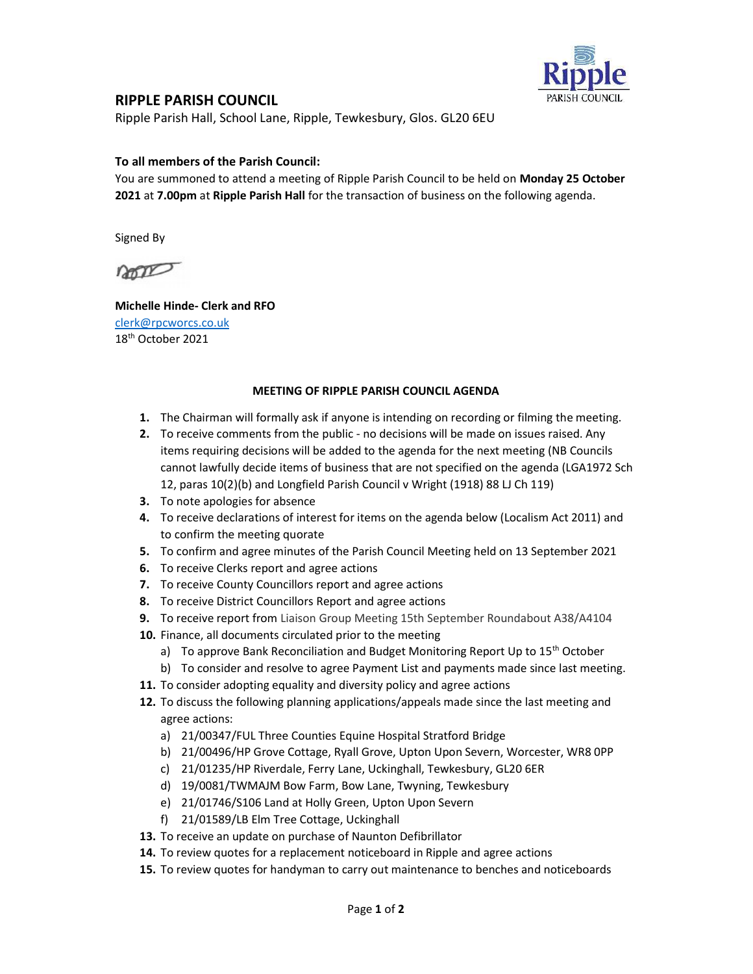

## RIPPLE PARISH COUNCIL

Ripple Parish Hall, School Lane, Ripple, Tewkesbury, Glos. GL20 6EU

## To all members of the Parish Council:

You are summoned to attend a meeting of Ripple Parish Council to be held on Monday 25 October 2021 at 7.00pm at Ripple Parish Hall for the transaction of business on the following agenda.

Signed By

non

Michelle Hinde- Clerk and RFO clerk@rpcworcs.co.uk 18th October 2021

## MEETING OF RIPPLE PARISH COUNCIL AGENDA

- 1. The Chairman will formally ask if anyone is intending on recording or filming the meeting.
- 2. To receive comments from the public no decisions will be made on issues raised. Any items requiring decisions will be added to the agenda for the next meeting (NB Councils cannot lawfully decide items of business that are not specified on the agenda (LGA1972 Sch 12, paras 10(2)(b) and Longfield Parish Council v Wright (1918) 88 LJ Ch 119)
- 3. To note apologies for absence
- 4. To receive declarations of interest for items on the agenda below (Localism Act 2011) and to confirm the meeting quorate
- 5. To confirm and agree minutes of the Parish Council Meeting held on 13 September 2021
- 6. To receive Clerks report and agree actions
- 7. To receive County Councillors report and agree actions
- 8. To receive District Councillors Report and agree actions
- 9. To receive report from Liaison Group Meeting 15th September Roundabout A38/A4104
- 10. Finance, all documents circulated prior to the meeting
	- a) To approve Bank Reconciliation and Budget Monitoring Report Up to  $15<sup>th</sup>$  October
	- b) To consider and resolve to agree Payment List and payments made since last meeting.
- 11. To consider adopting equality and diversity policy and agree actions
- 12. To discuss the following planning applications/appeals made since the last meeting and agree actions:
	- a) 21/00347/FUL Three Counties Equine Hospital Stratford Bridge
	- b) 21/00496/HP Grove Cottage, Ryall Grove, Upton Upon Severn, Worcester, WR8 0PP
	- c) 21/01235/HP Riverdale, Ferry Lane, Uckinghall, Tewkesbury, GL20 6ER
	- d) 19/0081/TWMAJM Bow Farm, Bow Lane, Twyning, Tewkesbury
	- e) 21/01746/S106 Land at Holly Green, Upton Upon Severn
	- f) 21/01589/LB Elm Tree Cottage, Uckinghall
- 13. To receive an update on purchase of Naunton Defibrillator
- 14. To review quotes for a replacement noticeboard in Ripple and agree actions
- 15. To review quotes for handyman to carry out maintenance to benches and noticeboards